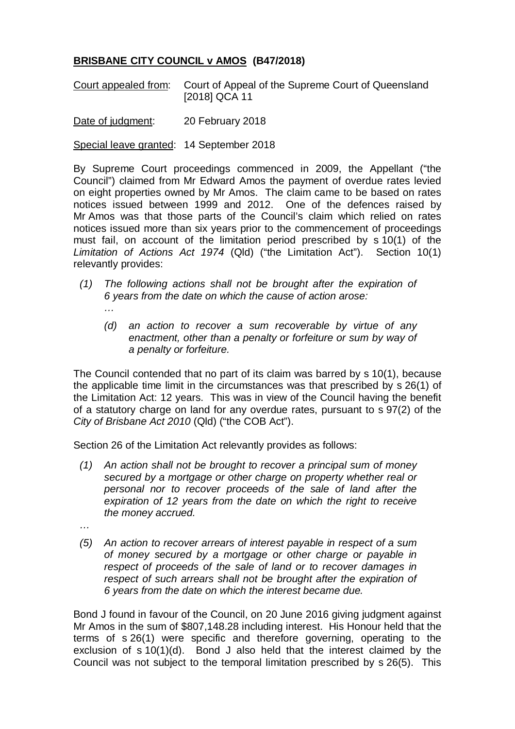## **BRISBANE CITY COUNCIL v AMOS (B47/2018)**

Court appealed from: Court of Appeal of the Supreme Court of Queensland [2018] QCA 11

Date of judgment: 20 February 2018

Special leave granted: 14 September 2018

By Supreme Court proceedings commenced in 2009, the Appellant ("the Council") claimed from Mr Edward Amos the payment of overdue rates levied on eight properties owned by Mr Amos. The claim came to be based on rates notices issued between 1999 and 2012. One of the defences raised by Mr Amos was that those parts of the Council's claim which relied on rates notices issued more than six years prior to the commencement of proceedings must fail, on account of the limitation period prescribed by s 10(1) of the *Limitation of Actions Act 1974* (Qld) ("the Limitation Act"). Section 10(1) relevantly provides:

- *(1) The following actions shall not be brought after the expiration of 6 years from the date on which the cause of action arose: …*
	- *(d) an action to recover a sum recoverable by virtue of any enactment, other than a penalty or forfeiture or sum by way of a penalty or forfeiture.*

The Council contended that no part of its claim was barred by s 10(1), because the applicable time limit in the circumstances was that prescribed by s 26(1) of the Limitation Act: 12 years. This was in view of the Council having the benefit of a statutory charge on land for any overdue rates, pursuant to s 97(2) of the *City of Brisbane Act 2010* (Qld) ("the COB Act").

Section 26 of the Limitation Act relevantly provides as follows:

- *(1) An action shall not be brought to recover a principal sum of money secured by a mortgage or other charge on property whether real or personal nor to recover proceeds of the sale of land after the expiration of 12 years from the date on which the right to receive the money accrued.*
- *…*
- *(5) An action to recover arrears of interest payable in respect of a sum of money secured by a mortgage or other charge or payable in respect of proceeds of the sale of land or to recover damages in respect of such arrears shall not be brought after the expiration of 6 years from the date on which the interest became due.*

Bond J found in favour of the Council, on 20 June 2016 giving judgment against Mr Amos in the sum of \$807,148.28 including interest. His Honour held that the terms of s 26(1) were specific and therefore governing, operating to the exclusion of s 10(1)(d). Bond J also held that the interest claimed by the Council was not subject to the temporal limitation prescribed by s 26(5). This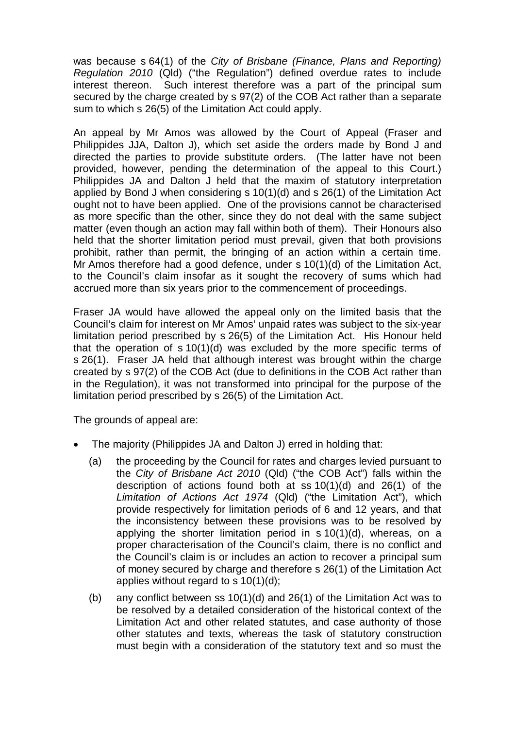was because s 64(1) of the *City of Brisbane (Finance, Plans and Reporting) Regulation 2010* (Qld) ("the Regulation") defined overdue rates to include interest thereon. Such interest therefore was a part of the principal sum secured by the charge created by s 97(2) of the COB Act rather than a separate sum to which s 26(5) of the Limitation Act could apply.

An appeal by Mr Amos was allowed by the Court of Appeal (Fraser and Philippides JJA, Dalton J), which set aside the orders made by Bond J and directed the parties to provide substitute orders. (The latter have not been provided, however, pending the determination of the appeal to this Court.) Philippides JA and Dalton J held that the maxim of statutory interpretation applied by Bond J when considering s 10(1)(d) and s 26(1) of the Limitation Act ought not to have been applied. One of the provisions cannot be characterised as more specific than the other, since they do not deal with the same subject matter (even though an action may fall within both of them). Their Honours also held that the shorter limitation period must prevail, given that both provisions prohibit, rather than permit, the bringing of an action within a certain time. Mr Amos therefore had a good defence, under s 10(1)(d) of the Limitation Act, to the Council's claim insofar as it sought the recovery of sums which had accrued more than six years prior to the commencement of proceedings.

Fraser JA would have allowed the appeal only on the limited basis that the Council's claim for interest on Mr Amos' unpaid rates was subject to the six-year limitation period prescribed by s 26(5) of the Limitation Act. His Honour held that the operation of s 10(1)(d) was excluded by the more specific terms of s 26(1). Fraser JA held that although interest was brought within the charge created by s 97(2) of the COB Act (due to definitions in the COB Act rather than in the Regulation), it was not transformed into principal for the purpose of the limitation period prescribed by s 26(5) of the Limitation Act.

The grounds of appeal are:

- The majority (Philippides JA and Dalton J) erred in holding that:
	- (a) the proceeding by the Council for rates and charges levied pursuant to the *City of Brisbane Act 2010* (Qld) ("the COB Act") falls within the description of actions found both at ss 10(1)(d) and 26(1) of the *Limitation of Actions Act 1974* (Qld) ("the Limitation Act"), which provide respectively for limitation periods of 6 and 12 years, and that the inconsistency between these provisions was to be resolved by applying the shorter limitation period in s 10(1)(d), whereas, on a proper characterisation of the Council's claim, there is no conflict and the Council's claim is or includes an action to recover a principal sum of money secured by charge and therefore s 26(1) of the Limitation Act applies without regard to s 10(1)(d);
	- (b) any conflict between ss 10(1)(d) and 26(1) of the Limitation Act was to be resolved by a detailed consideration of the historical context of the Limitation Act and other related statutes, and case authority of those other statutes and texts, whereas the task of statutory construction must begin with a consideration of the statutory text and so must the